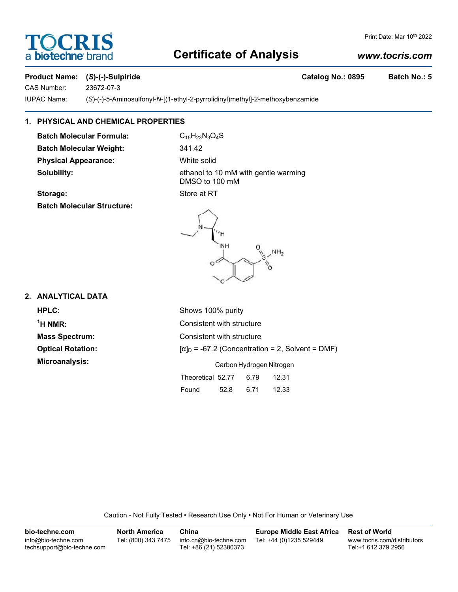# **DCRI** a biotechne

## Print Date: Mar 10<sup>th</sup> 2022

# **Certificate of Analysis**

# *www.tocris.com*

# Product Name: (S)-(-)-Sulpiride Catalog No.: 0895 Batch No.: 5

CAS Number: 23672-07-3

IUPAC Name: (*S*)-(-)-5-Aminosulfonyl-*N*-[(1-ethyl-2-pyrrolidinyl)methyl]-2-methoxybenzamide

# **1. PHYSICAL AND CHEMICAL PROPERTIES**

**Batch Molecular Formula:** C<sub>15</sub>H<sub>23</sub>N<sub>3</sub>O<sub>4</sub>S **Batch Molecular Weight:** 341.42 **Physical Appearance:** White solid

**Solubility:** ethanol to 10 mM with gentle warming DMSO to 100 mM **Storage:** Store at RT

NH

# **Batch Molecular Structure:**

**2. ANALYTICAL DATA**

 $<sup>1</sup>H NMR$ :</sup>

**HPLC:** Shows 100% purity **Consistent with structure Mass Spectrum:** Consistent with structure **Optical Rotation:**  $[\alpha]_D = -67.2$  (Concentration = 2, Solvent = DMF) **Microanalysis:** Carbon Hydrogen Nitrogen Theoretical 52.77 6.79 12.31 Found 52.8 6.71 12.33

 $NH<sub>2</sub>$ 

Caution - Not Fully Tested • Research Use Only • Not For Human or Veterinary Use

| bio-techne.com                                    | <b>North America</b> | China                                            | <b>Europe Middle East Africa</b> | <b>Rest of World</b>                               |
|---------------------------------------------------|----------------------|--------------------------------------------------|----------------------------------|----------------------------------------------------|
| info@bio-techne.com<br>techsupport@bio-techne.com | Tel: (800) 343 7475  | info.cn@bio-techne.com<br>Tel: +86 (21) 52380373 | Tel: +44 (0)1235 529449          | www.tocris.com/distributors<br>Tel:+1 612 379 2956 |